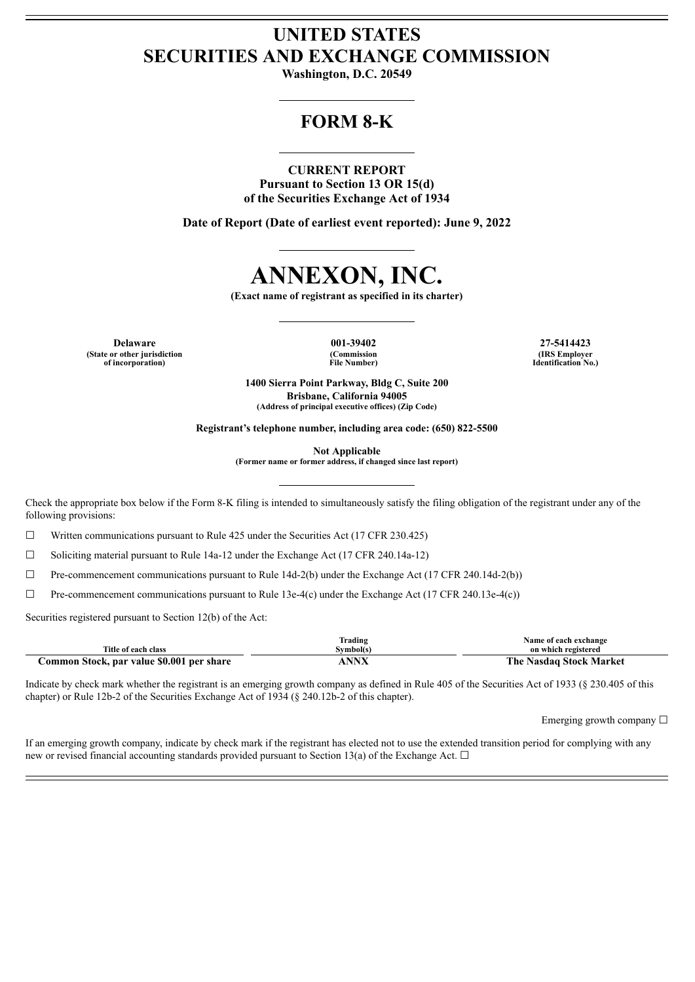## **UNITED STATES SECURITIES AND EXCHANGE COMMISSION**

**Washington, D.C. 20549**

# **FORM 8-K**

## **CURRENT REPORT**

**Pursuant to Section 13 OR 15(d) of the Securities Exchange Act of 1934**

**Date of Report (Date of earliest event reported): June 9, 2022**



**(Exact name of registrant as specified in its charter)**

**Delaware 001-39402 27-5414423 (State or other jurisdiction of incorporation)**

**(Commission File Number)**

**(IRS Employer Identification No.)**

**1400 Sierra Point Parkway, Bldg C, Suite 200 Brisbane, California 94005 (Address of principal executive offices) (Zip Code)**

**Registrant's telephone number, including area code: (650) 822-5500**

**Not Applicable**

**(Former name or former address, if changed since last report)**

Check the appropriate box below if the Form 8-K filing is intended to simultaneously satisfy the filing obligation of the registrant under any of the following provisions:

☐ Written communications pursuant to Rule 425 under the Securities Act (17 CFR 230.425)

☐ Soliciting material pursuant to Rule 14a-12 under the Exchange Act (17 CFR 240.14a-12)

 $\Box$  Pre-commencement communications pursuant to Rule 14d-2(b) under the Exchange Act (17 CFR 240.14d-2(b))

☐ Pre-commencement communications pursuant to Rule 13e-4(c) under the Exchange Act (17 CFR 240.13e-4(c))

Securities registered pursuant to Section 12(b) of the Act:

|                                           | Trading              | Name of each exchange          |
|-------------------------------------------|----------------------|--------------------------------|
| Title of each class                       | Svmbol(s             | on which registered            |
| Common Stock, par value \$0.001 per share | $\cdot$ NNV<br>ANIVA | <b>The Nasdaq Stock Market</b> |

Indicate by check mark whether the registrant is an emerging growth company as defined in Rule 405 of the Securities Act of 1933 (§ 230.405 of this chapter) or Rule 12b-2 of the Securities Exchange Act of 1934 (§ 240.12b-2 of this chapter).

Emerging growth company ☐

If an emerging growth company, indicate by check mark if the registrant has elected not to use the extended transition period for complying with any new or revised financial accounting standards provided pursuant to Section 13(a) of the Exchange Act.  $\Box$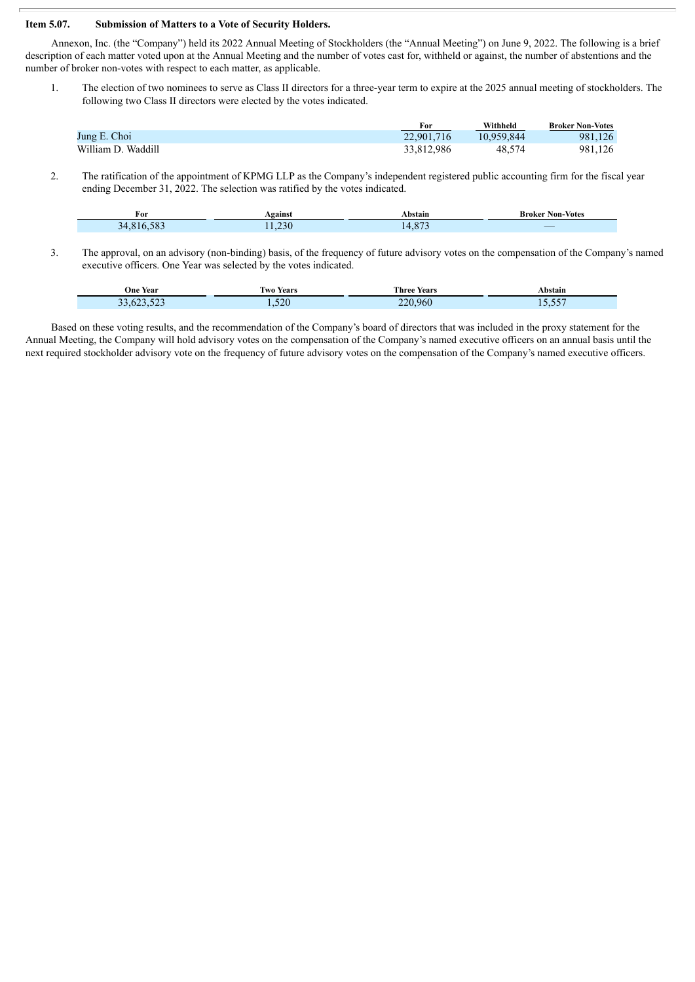### **Item 5.07. Submission of Matters to a Vote of Security Holders.**

Annexon, Inc. (the "Company") held its 2022 Annual Meeting of Stockholders (the "Annual Meeting") on June 9, 2022. The following is a brief description of each matter voted upon at the Annual Meeting and the number of votes cast for, withheld or against, the number of abstentions and the number of broker non-votes with respect to each matter, as applicable.

1. The election of two nominees to serve as Class II directors for a three-year term to expire at the 2025 annual meeting of stockholders. The following two Class II directors were elected by the votes indicated.

|                    | For        | Withheld   | <b>Broker Non-Votes</b> |
|--------------------|------------|------------|-------------------------|
| Jung E. Choi       | 22,901,716 | 10.959.844 | 981.126                 |
| William D. Waddill | 33,812,986 | 48.574     | 981,126                 |

2. The ratification of the appointment of KPMG LLP as the Company's independent registered public accounting firm for the fiscal year ending December 31, 2022. The selection was ratified by the votes indicated.

| For                           | <b>\gainst</b> | . hetoir<br>ман | <b>Non-Votes</b><br>Broker                                                                                                 |
|-------------------------------|----------------|-----------------|----------------------------------------------------------------------------------------------------------------------------|
| $\sim$ $\sim$<br>≺⊿<br>$\sim$ | 220            | 0.73<br>$\sim$  | _<br><b>Contract Contract Contract Contract Contract Contract Contract Contract Contract Contract Contract Contract Co</b> |

3. The approval, on an advisory (non-binding) basis, of the frequency of future advisory votes on the compensation of the Company's named executive officers. One Year was selected by the votes indicated.

| <b>One Year</b>     | Iwo Years | <b>Three Years</b> | Abstain          |
|---------------------|-----------|--------------------|------------------|
| $-22$<br>33.623.523 | 1,520     | 220,960            | $- - -$<br>10.UU |

Based on these voting results, and the recommendation of the Company's board of directors that was included in the proxy statement for the Annual Meeting, the Company will hold advisory votes on the compensation of the Company's named executive officers on an annual basis until the next required stockholder advisory vote on the frequency of future advisory votes on the compensation of the Company's named executive officers.